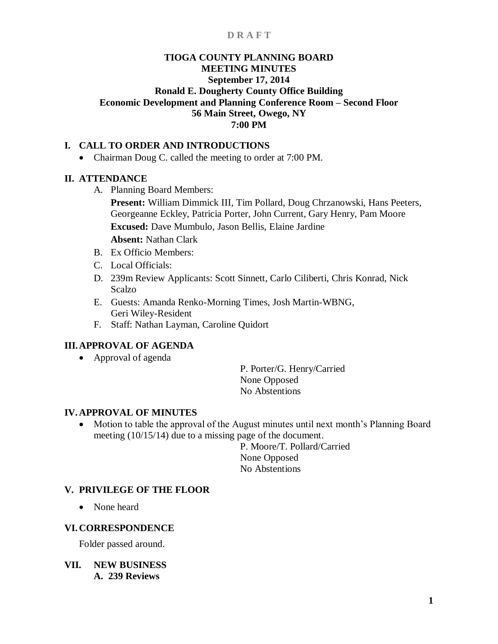# **TIOGA COUNTY PLANNING BOARD MEETING MINUTES September 17, 2014 Ronald E. Dougherty County Office Building Economic Development and Planning Conference Room – Second Floor 56 Main Street, Owego, NY 7:00 PM**

## **I. CALL TO ORDER AND INTRODUCTIONS**

• Chairman Doug C. called the meeting to order at 7:00 PM.

## **II. ATTENDANCE**

A. Planning Board Members:

**Present:** William Dimmick III, Tim Pollard, Doug Chrzanowski, Hans Peeters, Georgeanne Eckley, Patricia Porter, John Current, Gary Henry, Pam Moore **Excused:** Dave Mumbulo, Jason Bellis, Elaine Jardine

- **Absent:** Nathan Clark
- B. Ex Officio Members:
- C. Local Officials:
- D. 239m Review Applicants: Scott Sinnett, Carlo Ciliberti, Chris Konrad, Nick Scalzo
- E. Guests: Amanda Renko-Morning Times, Josh Martin-WBNG, Geri Wiley-Resident
- F. Staff: Nathan Layman, Caroline Quidort

# **III.APPROVAL OF AGENDA**

• Approval of agenda

P. Porter/G. Henry/Carried None Opposed No Abstentions

# **IV. APPROVAL OF MINUTES**

• Motion to table the approval of the August minutes until next month's Planning Board meeting (10/15/14) due to a missing page of the document.

> P. Moore/T. Pollard/Carried None Opposed No Abstentions

## **V. PRIVILEGE OF THE FLOOR**

• None heard

## **VI. CORRESPONDENCE**

Folder passed around.

**VII. NEW BUSINESS A. 239 Reviews**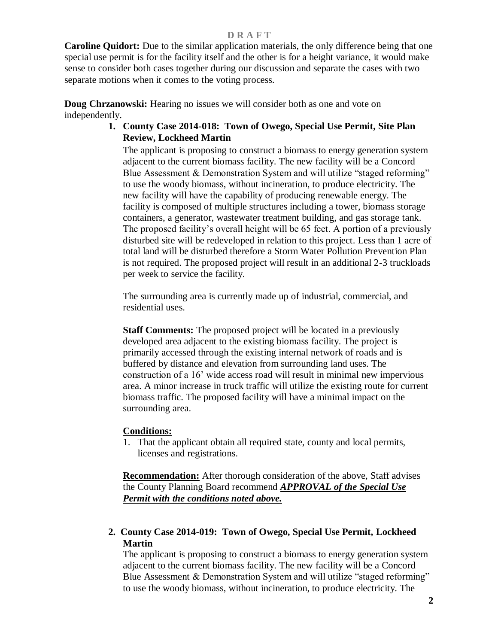**Caroline Quidort:** Due to the similar application materials, the only difference being that one special use permit is for the facility itself and the other is for a height variance, it would make sense to consider both cases together during our discussion and separate the cases with two separate motions when it comes to the voting process.

**Doug Chrzanowski:** Hearing no issues we will consider both as one and vote on independently.

# **1. County Case 2014-018: Town of Owego, Special Use Permit, Site Plan Review, Lockheed Martin**

The applicant is proposing to construct a biomass to energy generation system adjacent to the current biomass facility. The new facility will be a Concord Blue Assessment  $\&$  Demonstration System and will utilize "staged reforming" to use the woody biomass, without incineration, to produce electricity. The new facility will have the capability of producing renewable energy. The facility is composed of multiple structures including a tower, biomass storage containers, a generator, wastewater treatment building, and gas storage tank. The proposed facility's overall height will be 65 feet. A portion of a previously disturbed site will be redeveloped in relation to this project. Less than 1 acre of total land will be disturbed therefore a Storm Water Pollution Prevention Plan is not required. The proposed project will result in an additional 2-3 truckloads per week to service the facility.

The surrounding area is currently made up of industrial, commercial, and residential uses.

**Staff Comments:** The proposed project will be located in a previously developed area adjacent to the existing biomass facility. The project is primarily accessed through the existing internal network of roads and is buffered by distance and elevation from surrounding land uses. The construction of a 16' wide access road will result in minimal new impervious area. A minor increase in truck traffic will utilize the existing route for current biomass traffic. The proposed facility will have a minimal impact on the surrounding area.

## **Conditions:**

1. That the applicant obtain all required state, county and local permits, licenses and registrations.

**Recommendation:** After thorough consideration of the above, Staff advises the County Planning Board recommend *APPROVAL of the Special Use Permit with the conditions noted above.*

# **2. County Case 2014-019: Town of Owego, Special Use Permit, Lockheed Martin**

The applicant is proposing to construct a biomass to energy generation system adjacent to the current biomass facility. The new facility will be a Concord Blue Assessment & Demonstration System and will utilize "staged reforming" to use the woody biomass, without incineration, to produce electricity. The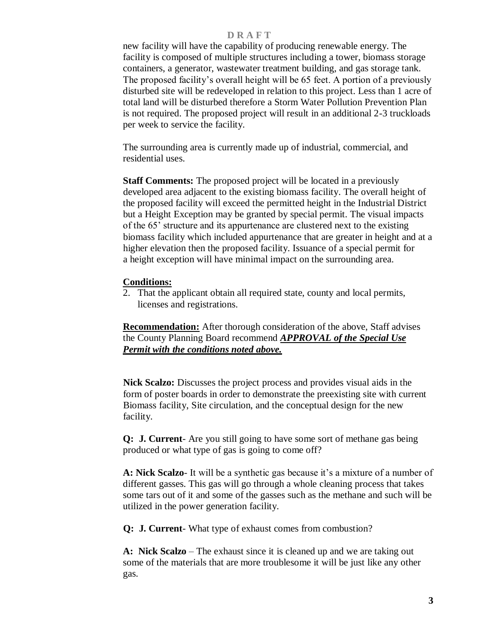new facility will have the capability of producing renewable energy. The facility is composed of multiple structures including a tower, biomass storage containers, a generator, wastewater treatment building, and gas storage tank. The proposed facility's overall height will be 65 feet. A portion of a previously disturbed site will be redeveloped in relation to this project. Less than 1 acre of total land will be disturbed therefore a Storm Water Pollution Prevention Plan is not required. The proposed project will result in an additional 2-3 truckloads per week to service the facility.

The surrounding area is currently made up of industrial, commercial, and residential uses.

**Staff Comments:** The proposed project will be located in a previously developed area adjacent to the existing biomass facility. The overall height of the proposed facility will exceed the permitted height in the Industrial District but a Height Exception may be granted by special permit. The visual impacts of the 65' structure and its appurtenance are clustered next to the existing biomass facility which included appurtenance that are greater in height and at a higher elevation then the proposed facility. Issuance of a special permit for a height exception will have minimal impact on the surrounding area.

## **Conditions:**

2. That the applicant obtain all required state, county and local permits, licenses and registrations.

**Recommendation:** After thorough consideration of the above, Staff advises the County Planning Board recommend *APPROVAL of the Special Use Permit with the conditions noted above.*

 **Nick Scalzo:** Discusses the project process and provides visual aids in the form of poster boards in order to demonstrate the preexisting site with current Biomass facility, Site circulation, and the conceptual design for the new facility.

**Q: J. Current**- Are you still going to have some sort of methane gas being produced or what type of gas is going to come off?

**A: Nick Scalzo**- It will be a synthetic gas because it's a mixture of a number of different gasses. This gas will go through a whole cleaning process that takes some tars out of it and some of the gasses such as the methane and such will be utilized in the power generation facility.

 **Q: J. Current**- What type of exhaust comes from combustion?

**A: Nick Scalzo** – The exhaust since it is cleaned up and we are taking out some of the materials that are more troublesome it will be just like any other gas.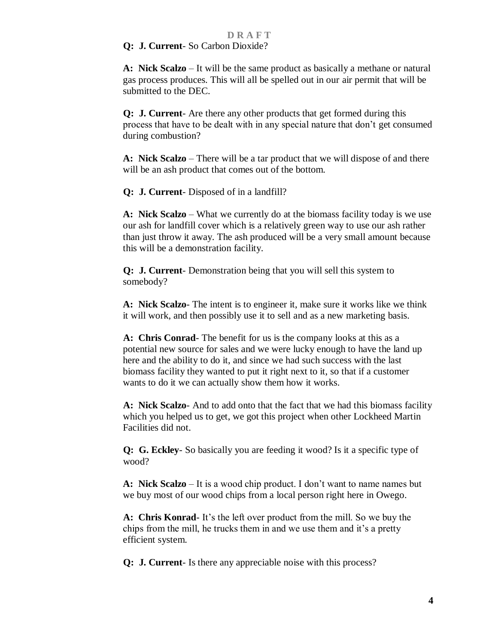### **Q: J. Current**- So Carbon Dioxide?

**A: Nick Scalzo** – It will be the same product as basically a methane or natural gas process produces. This will all be spelled out in our air permit that will be submitted to the DEC.

 **Q: J. Current**- Are there any other products that get formed during this process that have to be dealt with in any special nature that don't get consumed during combustion?

**A: Nick Scalzo** – There will be a tar product that we will dispose of and there will be an ash product that comes out of the bottom.

 **Q: J. Current**- Disposed of in a landfill?

**A: Nick Scalzo** – What we currently do at the biomass facility today is we use our ash for landfill cover which is a relatively green way to use our ash rather than just throw it away. The ash produced will be a very small amount because this will be a demonstration facility.

 **Q: J. Current**- Demonstration being that you will sell this system to somebody?

**A: Nick Scalzo**- The intent is to engineer it, make sure it works like we think it will work, and then possibly use it to sell and as a new marketing basis.

 **A: Chris Conrad**- The benefit for us is the company looks at this as a potential new source for sales and we were lucky enough to have the land up here and the ability to do it, and since we had such success with the last biomass facility they wanted to put it right next to it, so that if a customer wants to do it we can actually show them how it works.

 **A: Nick Scalzo**- And to add onto that the fact that we had this biomass facility which you helped us to get, we got this project when other Lockheed Martin Facilities did not.

 **Q: G. Eckley**- So basically you are feeding it wood? Is it a specific type of wood?

**A: Nick Scalzo** – It is a wood chip product. I don't want to name names but we buy most of our wood chips from a local person right here in Owego.

 **A: Chris Konrad**- It's the left over product from the mill. So we buy the chips from the mill, he trucks them in and we use them and it's a pretty efficient system.

 **Q: J. Current**- Is there any appreciable noise with this process?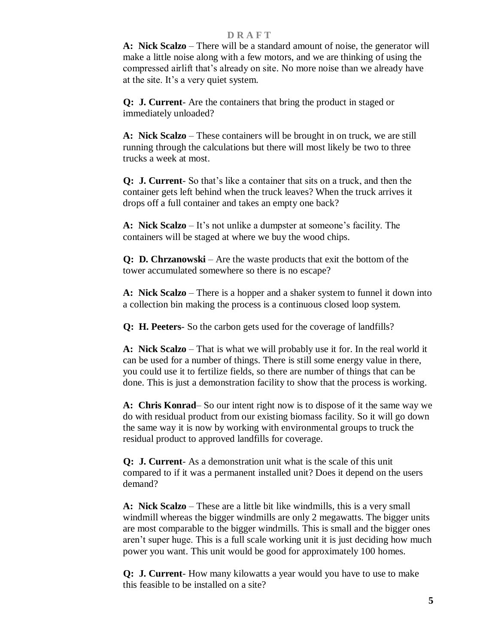**A: Nick Scalzo** – There will be a standard amount of noise, the generator will make a little noise along with a few motors, and we are thinking of using the compressed airlift that's already on site. No more noise than we already have at the site. It's a very quiet system.

 **Q: J. Current**- Are the containers that bring the product in staged or immediately unloaded?

**A: Nick Scalzo** – These containers will be brought in on truck, we are still running through the calculations but there will most likely be two to three trucks a week at most.

 **Q: J. Current**- So that's like a container that sits on a truck, and then the container gets left behind when the truck leaves? When the truck arrives it drops off a full container and takes an empty one back?

**A: Nick Scalzo** – It's not unlike a dumpster at someone's facility. The containers will be staged at where we buy the wood chips.

 **Q: D. Chrzanowski** – Are the waste products that exit the bottom of the tower accumulated somewhere so there is no escape?

**A: Nick Scalzo** – There is a hopper and a shaker system to funnel it down into a collection bin making the process is a continuous closed loop system.

 **Q: H. Peeters**- So the carbon gets used for the coverage of landfills?

**A: Nick Scalzo** – That is what we will probably use it for. In the real world it can be used for a number of things. There is still some energy value in there, you could use it to fertilize fields, so there are number of things that can be done. This is just a demonstration facility to show that the process is working.

**A: Chris Konrad**– So our intent right now is to dispose of it the same way we do with residual product from our existing biomass facility. So it will go down the same way it is now by working with environmental groups to truck the residual product to approved landfills for coverage.

 **Q: J. Current**- As a demonstration unit what is the scale of this unit compared to if it was a permanent installed unit? Does it depend on the users demand?

**A: Nick Scalzo** – These are a little bit like windmills, this is a very small windmill whereas the bigger windmills are only 2 megawatts. The bigger units are most comparable to the bigger windmills. This is small and the bigger ones aren't super huge. This is a full scale working unit it is just deciding how much power you want. This unit would be good for approximately 100 homes.

 **Q: J. Current**- How many kilowatts a year would you have to use to make this feasible to be installed on a site?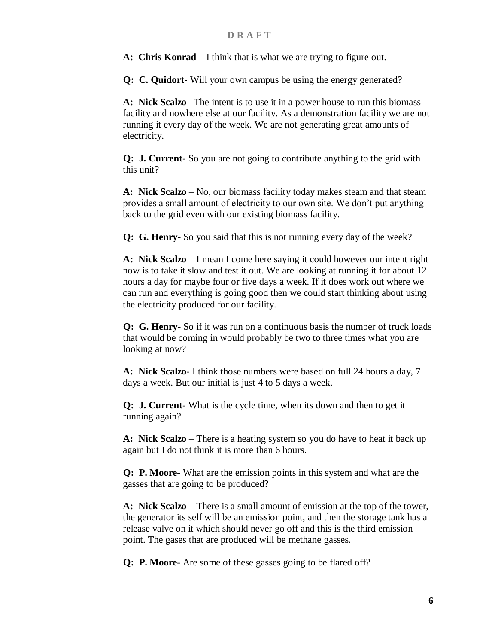**A: Chris Konrad** – I think that is what we are trying to figure out.

 **Q: C. Quidort**- Will your own campus be using the energy generated?

**A: Nick Scalzo**– The intent is to use it in a power house to run this biomass facility and nowhere else at our facility. As a demonstration facility we are not running it every day of the week. We are not generating great amounts of electricity.

 **Q: J. Current**- So you are not going to contribute anything to the grid with this unit?

**A: Nick Scalzo** – No, our biomass facility today makes steam and that steam provides a small amount of electricity to our own site. We don't put anything back to the grid even with our existing biomass facility.

 **Q: G. Henry**- So you said that this is not running every day of the week?

**A: Nick Scalzo** – I mean I come here saying it could however our intent right now is to take it slow and test it out. We are looking at running it for about 12 hours a day for maybe four or five days a week. If it does work out where we can run and everything is going good then we could start thinking about using the electricity produced for our facility.

 **Q: G. Henry**- So if it was run on a continuous basis the number of truck loads that would be coming in would probably be two to three times what you are looking at now?

**A: Nick Scalzo**- I think those numbers were based on full 24 hours a day, 7 days a week. But our initial is just 4 to 5 days a week.

 **Q: J. Current**- What is the cycle time, when its down and then to get it running again?

**A: Nick Scalzo** – There is a heating system so you do have to heat it back up again but I do not think it is more than 6 hours.

 **Q: P. Moore**- What are the emission points in this system and what are the gasses that are going to be produced?

**A: Nick Scalzo** – There is a small amount of emission at the top of the tower, the generator its self will be an emission point, and then the storage tank has a release valve on it which should never go off and this is the third emission point. The gases that are produced will be methane gasses.

 **Q: P. Moore**- Are some of these gasses going to be flared off?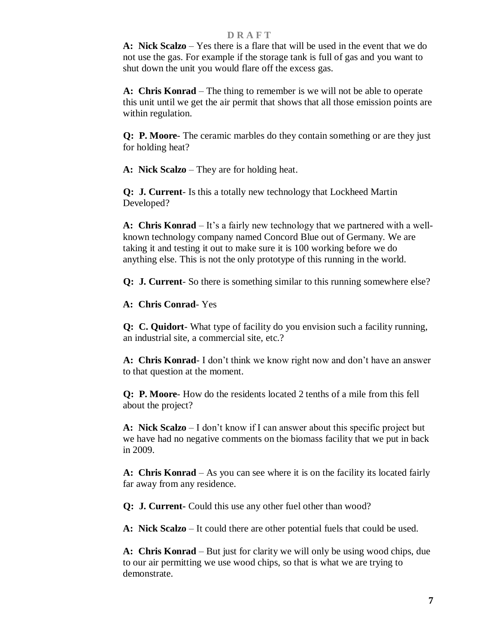**A: Nick Scalzo** – Yes there is a flare that will be used in the event that we do not use the gas. For example if the storage tank is full of gas and you want to shut down the unit you would flare off the excess gas.

 **A: Chris Konrad** – The thing to remember is we will not be able to operate this unit until we get the air permit that shows that all those emission points are within regulation.

 **Q: P. Moore**- The ceramic marbles do they contain something or are they just for holding heat?

**A: Nick Scalzo** – They are for holding heat.

 **Q: J. Current**- Is this a totally new technology that Lockheed Martin Developed?

**A: Chris Konrad** – It's a fairly new technology that we partnered with a wellknown technology company named Concord Blue out of Germany. We are taking it and testing it out to make sure it is 100 working before we do anything else. This is not the only prototype of this running in the world.

 **Q: J. Current**- So there is something similar to this running somewhere else?

**A: Chris Conrad**- Yes

 **Q: C. Quidort**- What type of facility do you envision such a facility running, an industrial site, a commercial site, etc.?

 **A: Chris Konrad**- I don't think we know right now and don't have an answer to that question at the moment.

 **Q: P. Moore**- How do the residents located 2 tenths of a mile from this fell about the project?

**A: Nick Scalzo** – I don't know if I can answer about this specific project but we have had no negative comments on the biomass facility that we put in back in 2009.

 **A: Chris Konrad** – As you can see where it is on the facility its located fairly far away from any residence.

 **Q: J. Current-** Could this use any other fuel other than wood?

**A: Nick Scalzo** – It could there are other potential fuels that could be used.

**A: Chris Konrad** – But just for clarity we will only be using wood chips, due to our air permitting we use wood chips, so that is what we are trying to demonstrate.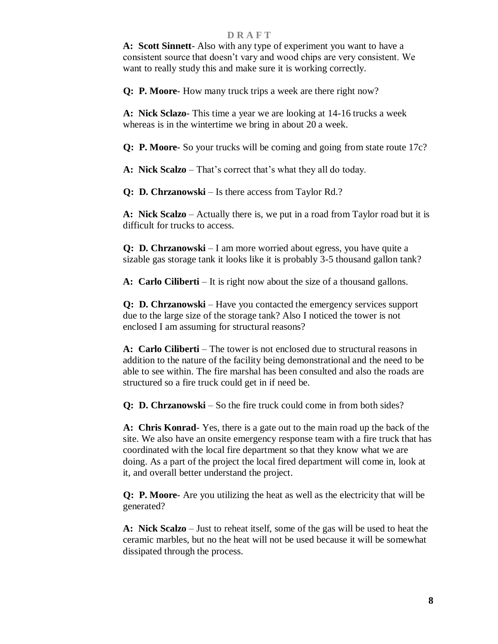**A: Scott Sinnett**- Also with any type of experiment you want to have a consistent source that doesn't vary and wood chips are very consistent. We want to really study this and make sure it is working correctly.

**Q: P. Moore**- How many truck trips a week are there right now?

 **A: Nick Sclazo**- This time a year we are looking at 14-16 trucks a week whereas is in the wintertime we bring in about 20 a week.

 **Q: P. Moore**- So your trucks will be coming and going from state route 17c?

 **A: Nick Scalzo** – That's correct that's what they all do today.

 **Q: D. Chrzanowski** – Is there access from Taylor Rd.?

**A: Nick Scalzo** – Actually there is, we put in a road from Taylor road but it is difficult for trucks to access.

 **Q: D. Chrzanowski** – I am more worried about egress, you have quite a sizable gas storage tank it looks like it is probably 3-5 thousand gallon tank?

**A: Carlo Ciliberti** – It is right now about the size of a thousand gallons.

 **Q: D. Chrzanowski** – Have you contacted the emergency services support due to the large size of the storage tank? Also I noticed the tower is not enclosed I am assuming for structural reasons?

**A: Carlo Ciliberti** – The tower is not enclosed due to structural reasons in addition to the nature of the facility being demonstrational and the need to be able to see within. The fire marshal has been consulted and also the roads are structured so a fire truck could get in if need be.

**Q: D. Chrzanowski** – So the fire truck could come in from both sides?

 **A: Chris Konrad**- Yes, there is a gate out to the main road up the back of the site. We also have an onsite emergency response team with a fire truck that has coordinated with the local fire department so that they know what we are doing. As a part of the project the local fired department will come in, look at it, and overall better understand the project.

 **Q: P. Moore**- Are you utilizing the heat as well as the electricity that will be generated?

**A: Nick Scalzo** – Just to reheat itself, some of the gas will be used to heat the ceramic marbles, but no the heat will not be used because it will be somewhat dissipated through the process.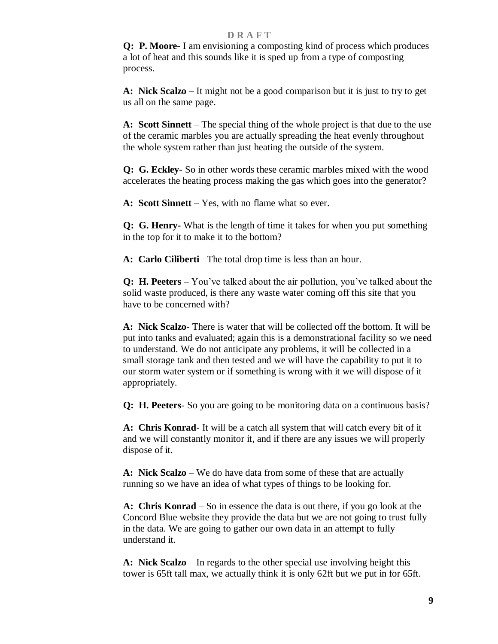**Q: P. Moore-** I am envisioning a composting kind of process which produces a lot of heat and this sounds like it is sped up from a type of composting process.

**A: Nick Scalzo** – It might not be a good comparison but it is just to try to get us all on the same page.

**A: Scott Sinnett** – The special thing of the whole project is that due to the use of the ceramic marbles you are actually spreading the heat evenly throughout the whole system rather than just heating the outside of the system.

 **Q: G. Eckley**- So in other words these ceramic marbles mixed with the wood accelerates the heating process making the gas which goes into the generator?

**A: Scott Sinnett** – Yes, with no flame what so ever.

 **Q: G. Henry-** What is the length of time it takes for when you put something in the top for it to make it to the bottom?

**A: Carlo Ciliberti**– The total drop time is less than an hour.

 **Q: H. Peeters** – You've talked about the air pollution, you've talked about the solid waste produced, is there any waste water coming off this site that you have to be concerned with?

**A: Nick Scalzo**- There is water that will be collected off the bottom. It will be put into tanks and evaluated; again this is a demonstrational facility so we need to understand. We do not anticipate any problems, it will be collected in a small storage tank and then tested and we will have the capability to put it to our storm water system or if something is wrong with it we will dispose of it appropriately.

**Q: H. Peeters**- So you are going to be monitoring data on a continuous basis?

 **A: Chris Konrad**- It will be a catch all system that will catch every bit of it and we will constantly monitor it, and if there are any issues we will properly dispose of it.

**A: Nick Scalzo** – We do have data from some of these that are actually running so we have an idea of what types of things to be looking for.

 **A: Chris Konrad** – So in essence the data is out there, if you go look at the Concord Blue website they provide the data but we are not going to trust fully in the data. We are going to gather our own data in an attempt to fully understand it.

**A: Nick Scalzo** – In regards to the other special use involving height this tower is 65ft tall max, we actually think it is only 62ft but we put in for 65ft.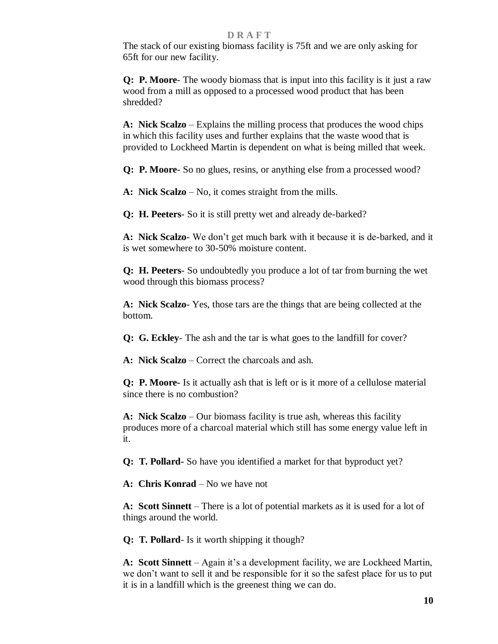The stack of our existing biomass facility is 75ft and we are only asking for 65ft for our new facility.

 **Q: P. Moore**- The woody biomass that is input into this facility is it just a raw wood from a mill as opposed to a processed wood product that has been shredded?

**A: Nick Scalzo** – Explains the milling process that produces the wood chips in which this facility uses and further explains that the waste wood that is provided to Lockheed Martin is dependent on what is being milled that week.

 **Q: P. Moore**- So no glues, resins, or anything else from a processed wood?

**A: Nick Scalzo** – No, it comes straight from the mills.

 **Q: H. Peeters**- So it is still pretty wet and already de-barked?

**A: Nick Scalzo**- We don't get much bark with it because it is de-barked, and it is wet somewhere to 30-50% moisture content.

 **Q: H. Peeters**- So undoubtedly you produce a lot of tar from burning the wet wood through this biomass process?

 **A: Nick Scalzo**- Yes, those tars are the things that are being collected at the bottom.

 **Q: G. Eckley**- The ash and the tar is what goes to the landfill for cover?

**A: Nick Scalzo** – Correct the charcoals and ash.

 **Q: P. Moore-** Is it actually ash that is left or is it more of a cellulose material since there is no combustion?

**A: Nick Scalzo** – Our biomass facility is true ash, whereas this facility produces more of a charcoal material which still has some energy value left in it.

**Q: T. Pollard-** So have you identified a market for that byproduct yet?

**A: Chris Konrad** – No we have not

**A: Scott Sinnett** – There is a lot of potential markets as it is used for a lot of things around the world.

 **Q: T. Pollard**- Is it worth shipping it though?

**A: Scott Sinnett** – Again it's a development facility, we are Lockheed Martin, we don't want to sell it and be responsible for it so the safest place for us to put it is in a landfill which is the greenest thing we can do.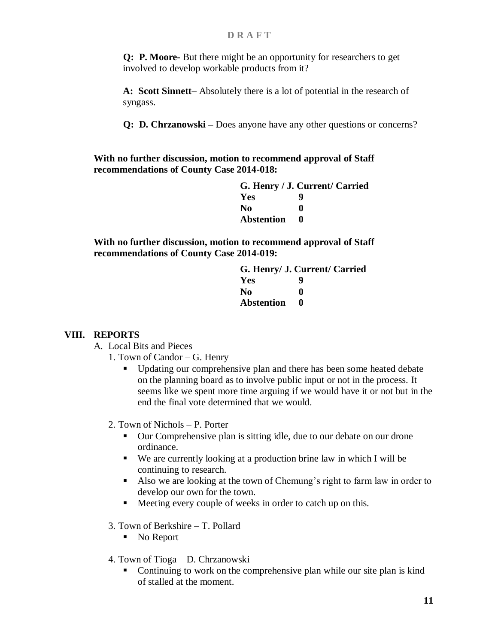**Q: P. Moore-** But there might be an opportunity for researchers to get involved to develop workable products from it?

**A: Scott Sinnett**– Absolutely there is a lot of potential in the research of syngass.

 **Q: D. Chrzanowski –** Does anyone have any other questions or concerns?

**With no further discussion, motion to recommend approval of Staff recommendations of County Case 2014-018:**

|                   | G. Henry / J. Current/ Carried |
|-------------------|--------------------------------|
| Yes               | q                              |
| N <sub>0</sub>    | o                              |
| <b>Abstention</b> |                                |

**With no further discussion, motion to recommend approval of Staff recommendations of County Case 2014-019:**

> **G. Henry/ J. Current/ Carried Yes 9 No 0 Abstention 0**

## **VIII. REPORTS**

- A. Local Bits and Pieces
	- 1. Town of Candor G. Henry
		- Updating our comprehensive plan and there has been some heated debate on the planning board as to involve public input or not in the process. It seems like we spent more time arguing if we would have it or not but in the end the final vote determined that we would.
	- 2. Town of Nichols P. Porter
		- Our Comprehensive plan is sitting idle, due to our debate on our drone ordinance.
		- We are currently looking at a production brine law in which I will be continuing to research.
		- Also we are looking at the town of Chemung's right to farm law in order to develop our own for the town.
		- Meeting every couple of weeks in order to catch up on this.
	- 3. Town of Berkshire T. Pollard
		- No Report
	- 4. Town of Tioga D. Chrzanowski
		- Continuing to work on the comprehensive plan while our site plan is kind of stalled at the moment.